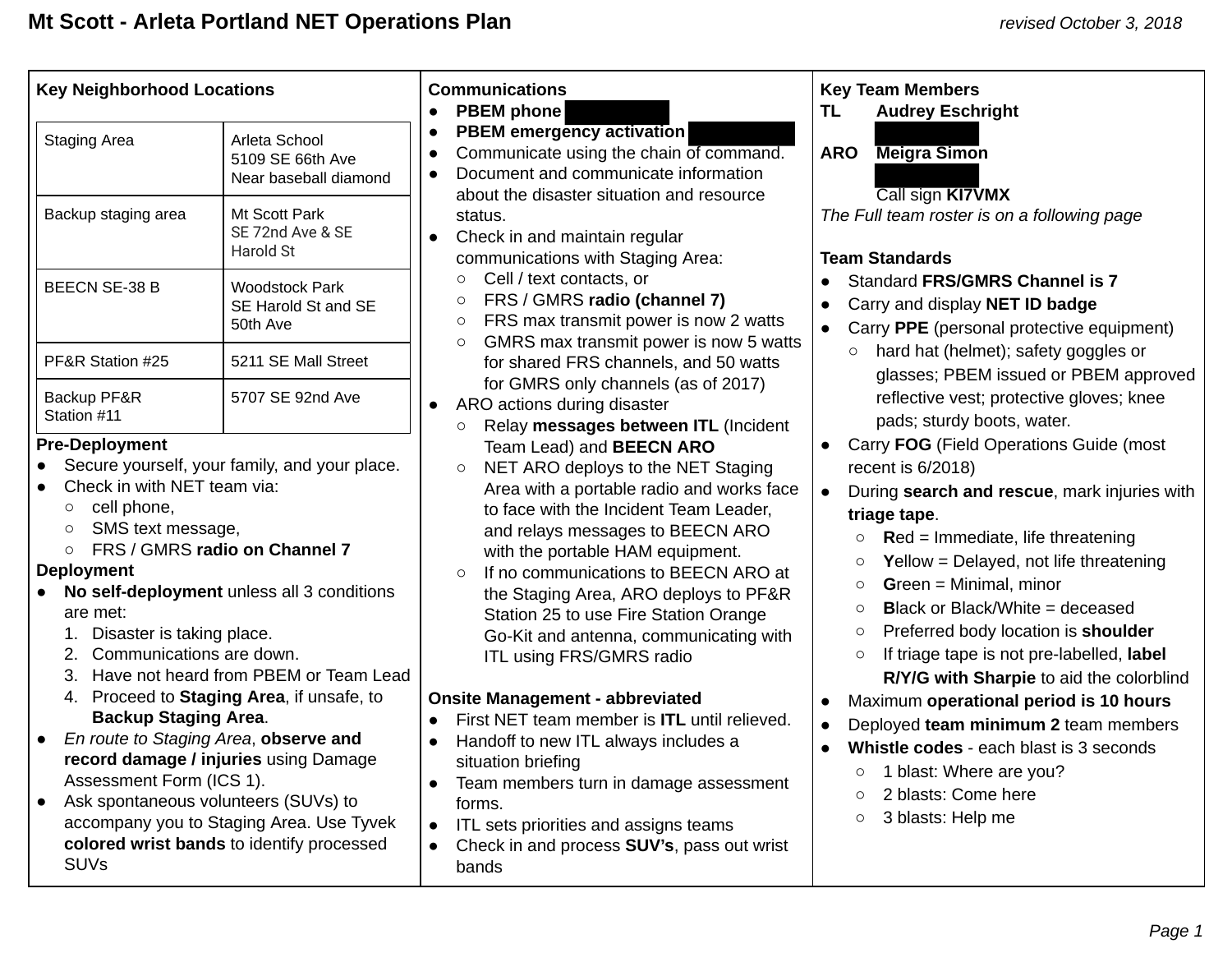| <b>Key Neighborhood Locations</b>                                                                                                                                                                                                                                                                                                                                                                                                                                                                                                                                                                                                                                                                                                       |                                                            | <b>Communications</b><br><b>PBEM</b> phone<br>$\bullet$                                                                                                                                                                                                                                                                                                                                                                                                                                                                                                                                                                                                                                                                                                                                      | <b>Key Team Members</b><br><b>Audrey Eschright</b><br><b>TL</b>                                                                                                                                                                                                                                                                                                                                                                                                                                                                                                                                                                                                                                                                                                                         |  |  |
|-----------------------------------------------------------------------------------------------------------------------------------------------------------------------------------------------------------------------------------------------------------------------------------------------------------------------------------------------------------------------------------------------------------------------------------------------------------------------------------------------------------------------------------------------------------------------------------------------------------------------------------------------------------------------------------------------------------------------------------------|------------------------------------------------------------|----------------------------------------------------------------------------------------------------------------------------------------------------------------------------------------------------------------------------------------------------------------------------------------------------------------------------------------------------------------------------------------------------------------------------------------------------------------------------------------------------------------------------------------------------------------------------------------------------------------------------------------------------------------------------------------------------------------------------------------------------------------------------------------------|-----------------------------------------------------------------------------------------------------------------------------------------------------------------------------------------------------------------------------------------------------------------------------------------------------------------------------------------------------------------------------------------------------------------------------------------------------------------------------------------------------------------------------------------------------------------------------------------------------------------------------------------------------------------------------------------------------------------------------------------------------------------------------------------|--|--|
| <b>Staging Area</b>                                                                                                                                                                                                                                                                                                                                                                                                                                                                                                                                                                                                                                                                                                                     | Arleta School<br>5109 SE 66th Ave<br>Near baseball diamond | <b>PBEM</b> emergency activation<br>$\bullet$<br>Communicate using the chain of command.<br>Document and communicate information<br>about the disaster situation and resource                                                                                                                                                                                                                                                                                                                                                                                                                                                                                                                                                                                                                | <b>Meigra Simon</b><br><b>ARO</b><br>Call sign KI7VMX                                                                                                                                                                                                                                                                                                                                                                                                                                                                                                                                                                                                                                                                                                                                   |  |  |
| Backup staging area                                                                                                                                                                                                                                                                                                                                                                                                                                                                                                                                                                                                                                                                                                                     | Mt Scott Park<br>SE 72nd Ave & SE<br>Harold St             | status.<br>Check in and maintain regular<br>communications with Staging Area:                                                                                                                                                                                                                                                                                                                                                                                                                                                                                                                                                                                                                                                                                                                | The Full team roster is on a following page<br><b>Team Standards</b><br>Standard FRS/GMRS Channel is 7<br>Carry and display NET ID badge<br>$\bullet$<br>Carry PPE (personal protective equipment)<br>$\bullet$                                                                                                                                                                                                                                                                                                                                                                                                                                                                                                                                                                         |  |  |
| <b>BEECN SE-38 B</b>                                                                                                                                                                                                                                                                                                                                                                                                                                                                                                                                                                                                                                                                                                                    | <b>Woodstock Park</b><br>SE Harold St and SE<br>50th Ave   | Cell / text contacts, or<br>$\circ$<br>FRS / GMRS radio (channel 7)<br>$\circ$<br>FRS max transmit power is now 2 watts<br>$\circ$                                                                                                                                                                                                                                                                                                                                                                                                                                                                                                                                                                                                                                                           |                                                                                                                                                                                                                                                                                                                                                                                                                                                                                                                                                                                                                                                                                                                                                                                         |  |  |
| PF&R Station #25                                                                                                                                                                                                                                                                                                                                                                                                                                                                                                                                                                                                                                                                                                                        | 5211 SE Mall Street                                        | GMRS max transmit power is now 5 watts<br>$\circ$<br>for shared FRS channels, and 50 watts                                                                                                                                                                                                                                                                                                                                                                                                                                                                                                                                                                                                                                                                                                   | hard hat (helmet); safety goggles or<br>$\circ$<br>glasses; PBEM issued or PBEM approved                                                                                                                                                                                                                                                                                                                                                                                                                                                                                                                                                                                                                                                                                                |  |  |
| Backup PF&R<br>Station #11                                                                                                                                                                                                                                                                                                                                                                                                                                                                                                                                                                                                                                                                                                              | 5707 SE 92nd Ave                                           | for GMRS only channels (as of 2017)<br>ARO actions during disaster<br>$\bullet$<br>Relay messages between ITL (Incident<br>$\circ$                                                                                                                                                                                                                                                                                                                                                                                                                                                                                                                                                                                                                                                           | reflective vest; protective gloves; knee<br>pads; sturdy boots, water.                                                                                                                                                                                                                                                                                                                                                                                                                                                                                                                                                                                                                                                                                                                  |  |  |
| <b>Pre-Deployment</b><br>Secure yourself, your family, and your place.<br>$\bullet$<br>Check in with NET team via:<br>cell phone,<br>$\circ$<br>SMS text message,<br>O<br>FRS / GMRS radio on Channel 7<br>$\circ$<br><b>Deployment</b><br>No self-deployment unless all 3 conditions<br>$\bullet$<br>are met:<br>Disaster is taking place.<br>1.<br>Communications are down.<br>Proceed to Staging Area, if unsafe, to<br>4.<br><b>Backup Staging Area.</b><br>En route to Staging Area, observe and<br>record damage / injuries using Damage<br>Assessment Form (ICS 1).<br>Ask spontaneous volunteers (SUVs) to<br>$\bullet$<br>accompany you to Staging Area. Use Tyvek<br>colored wrist bands to identify processed<br><b>SUVs</b> | Have not heard from PBEM or Team Lead                      | Team Lead) and BEECN ARO<br>NET ARO deploys to the NET Staging<br>$\circ$<br>Area with a portable radio and works face<br>to face with the Incident Team Leader,<br>and relays messages to BEECN ARO<br>with the portable HAM equipment.<br>If no communications to BEECN ARO at<br>$\Omega$<br>the Staging Area, ARO deploys to PF&R<br>Station 25 to use Fire Station Orange<br>Go-Kit and antenna, communicating with<br>ITL using FRS/GMRS radio<br><b>Onsite Management - abbreviated</b><br>First NET team member is <b>ITL</b> until relieved.<br>Handoff to new ITL always includes a<br>situation briefing<br>Team members turn in damage assessment<br>forms.<br>ITL sets priorities and assigns teams<br>$\bullet$<br>Check in and process <b>SUV's</b> , pass out wrist<br>bands | Carry FOG (Field Operations Guide (most<br>$\bullet$<br>recent is 6/2018)<br>During search and rescue, mark injuries with<br>$\bullet$<br>triage tape.<br>$\text{Red}$ = Immediate, life threatening<br>O<br><b>Yellow</b> = Delayed, not life threatening<br>$\circ$<br>$Green = Minimal$ , minor<br>$\circ$<br><b>Black or Black/White = deceased</b><br>$\circ$<br>Preferred body location is shoulder<br>$\circ$<br>If triage tape is not pre-labelled, label<br>$\circ$<br>R/Y/G with Sharpie to aid the colorblind<br>Maximum operational period is 10 hours<br>Deployed team minimum 2 team members<br>$\bullet$<br>Whistle codes - each blast is 3 seconds<br>$\bullet$<br>1 blast: Where are you?<br>$\circ$<br>2 blasts: Come here<br>$\circ$<br>3 blasts: Help me<br>$\circ$ |  |  |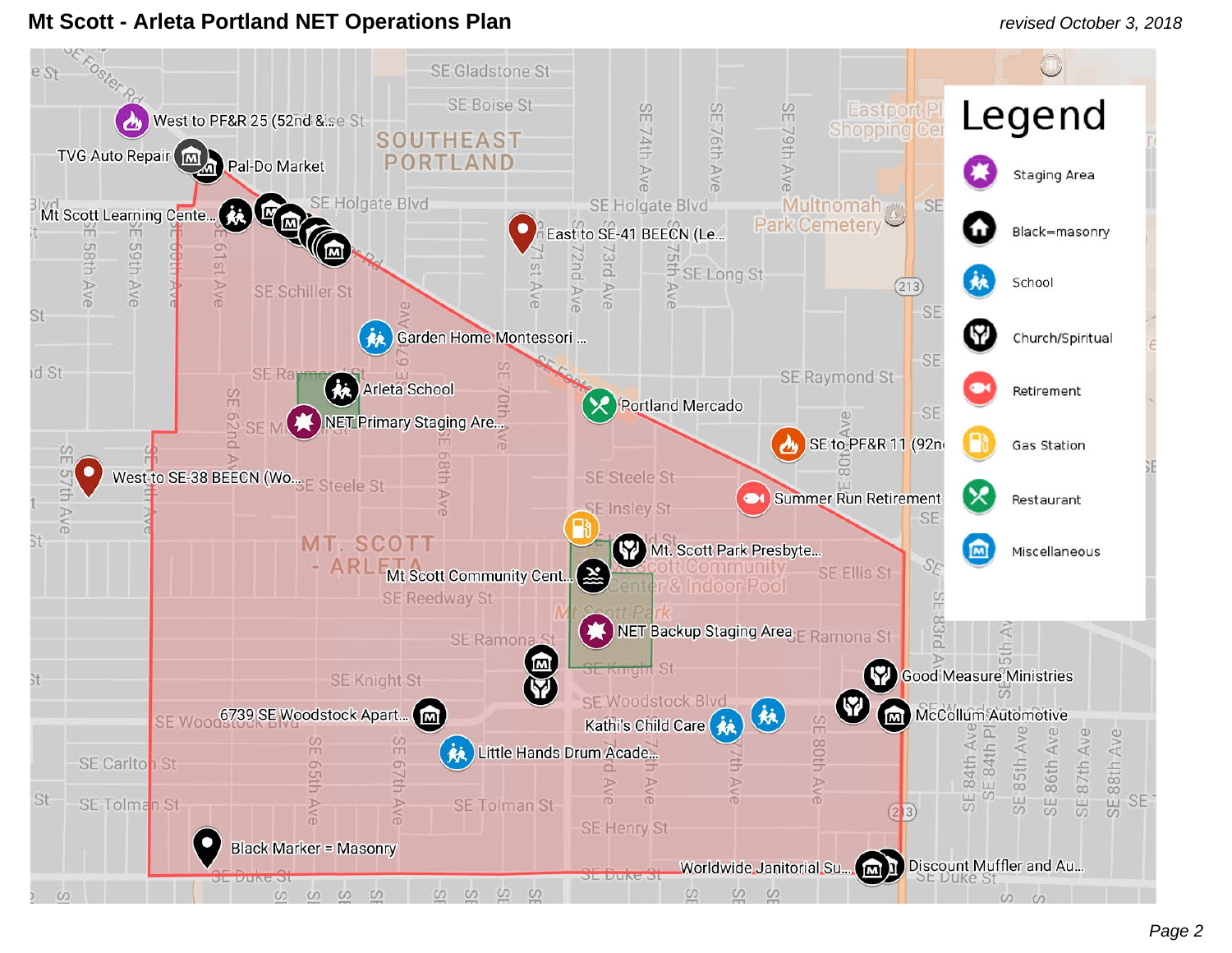### **Mt Scott - Arleta Portland NET Operations Plan** *revised October 3, 2018*

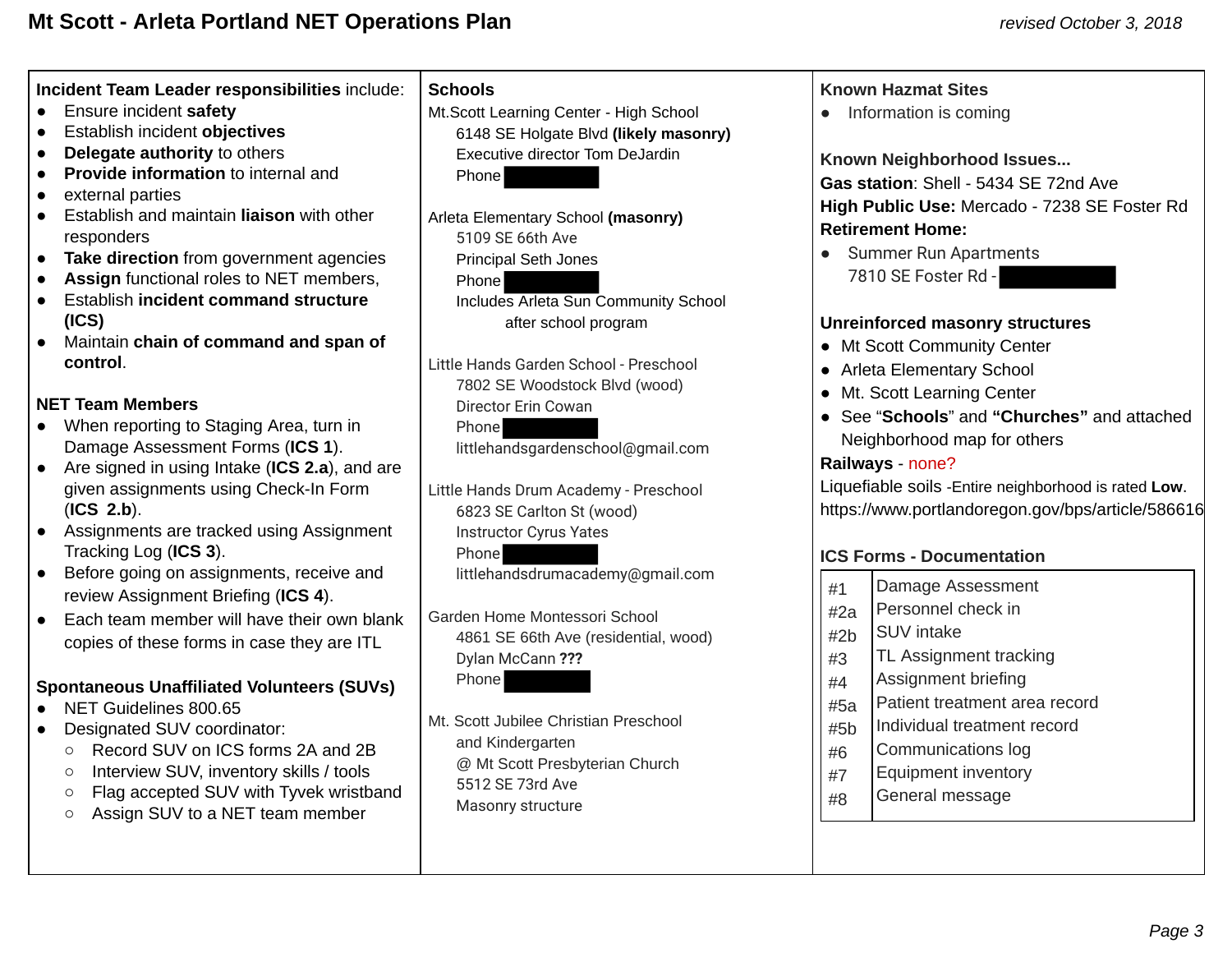**Incident Team Leader responsibilities** include:

- Ensure incident **safety**
- Establish incident **objectives**
- **Delegate authority** to others
- **Provide information** to internal and
- external parties
- Establish and maintain **liaison** with other responders
- **Take direction** from government agencies
- Assign functional roles to NET members,
- Establish **incident command structure (ICS)**
- Maintain **chain of command and span of control** .

### **NET Team Members**

- When reporting to Staging Area, turn in Damage Assessment Forms (ICS 1).
- Are signed in using Intake ( **ICS 2.a** ), and are given assignments using Check-In Form ( **ICS 2.b** ).
- Assignments are tracked using Assignment Tracking Log (ICS 3).
- Before going on assignments, receive and review Assignment Briefing ( **ICS 4** ).
- Each team member will have their own blank copies of these forms in case they are ITL

### **Spontaneous Unaffiliated Volunteers (SUVs)**

- NET Guidelines 800.65
- Designated SUV coordinator:
	- Record SUV on ICS forms 2A and 2B
	- Interview SUV, inventory skills / tools
	- Flag accepted SUV with Tyvek wristband
	- Assign SUV to a NET team member

### **Schools**

Mt.Scott Learning Center - High School 6148 SE Holgate Blvd **(likely masonry)**  Executive director Tom DeJardin Phone

Arleta Elementary School **(masonry)**  5109 SE 66th Ave Principal Seth Jones Phone Includes Arleta Sun Community School after school program

Little Hands Garden School - Preschool 7802 SE Woodstock Blvd (wood) Director Erin Cowan Phone

littlehandsgardenschool@gmail.com

Little Hands Drum Academy - Preschool 6823 SE Carlton St (wood) Instructor Cyrus Yates Phone

littlehandsdrumacademy@gmail.com

Garden Home Montessori School 4861 SE 66th Ave (residential, wood) Dylan McCann **???**  Phone

Mt. Scott Jubilee Christian Preschool and Kindergarten @ Mt Scott Presbyterian Church 5512 SE 73rd Ave Masonry structure

### **Known Hazmat Sites**

• Information is coming

**Known Neighborhood Issues...**  Gas station: Shell - 5434 SE 72nd Ave **High Public Use:** Mercado - 7238 SE Foster Rd **Retirement Home:** 

● Summer Run Apartments 7810 SE Foster Rd -

### **Unreinforced masonry structures**

- Mt Scott Community Center
- Arleta Elementary School
- Mt. Scott Learning Center
- See " **Schools** " and **"Churches"** and attached Neighborhood map for others

### **Railways** - none?

Liquefiable soils -Entire neighborhood is rated **Low** . https://www.portlandoregon.gov/bps/article/586616

### **ICS Forms - Documentation**

| #1  | Damage Assessment             |
|-----|-------------------------------|
| #2a | Personnel check in            |
| #2b | <b>SUV</b> intake             |
| #3  | TL Assignment tracking        |
| #4  | Assignment briefing           |
| #5a | Patient treatment area record |
| #5b | Individual treatment record   |
| #6  | Communications log            |
| #7  | <b>Equipment inventory</b>    |
| #8  | General message               |
|     |                               |
|     |                               |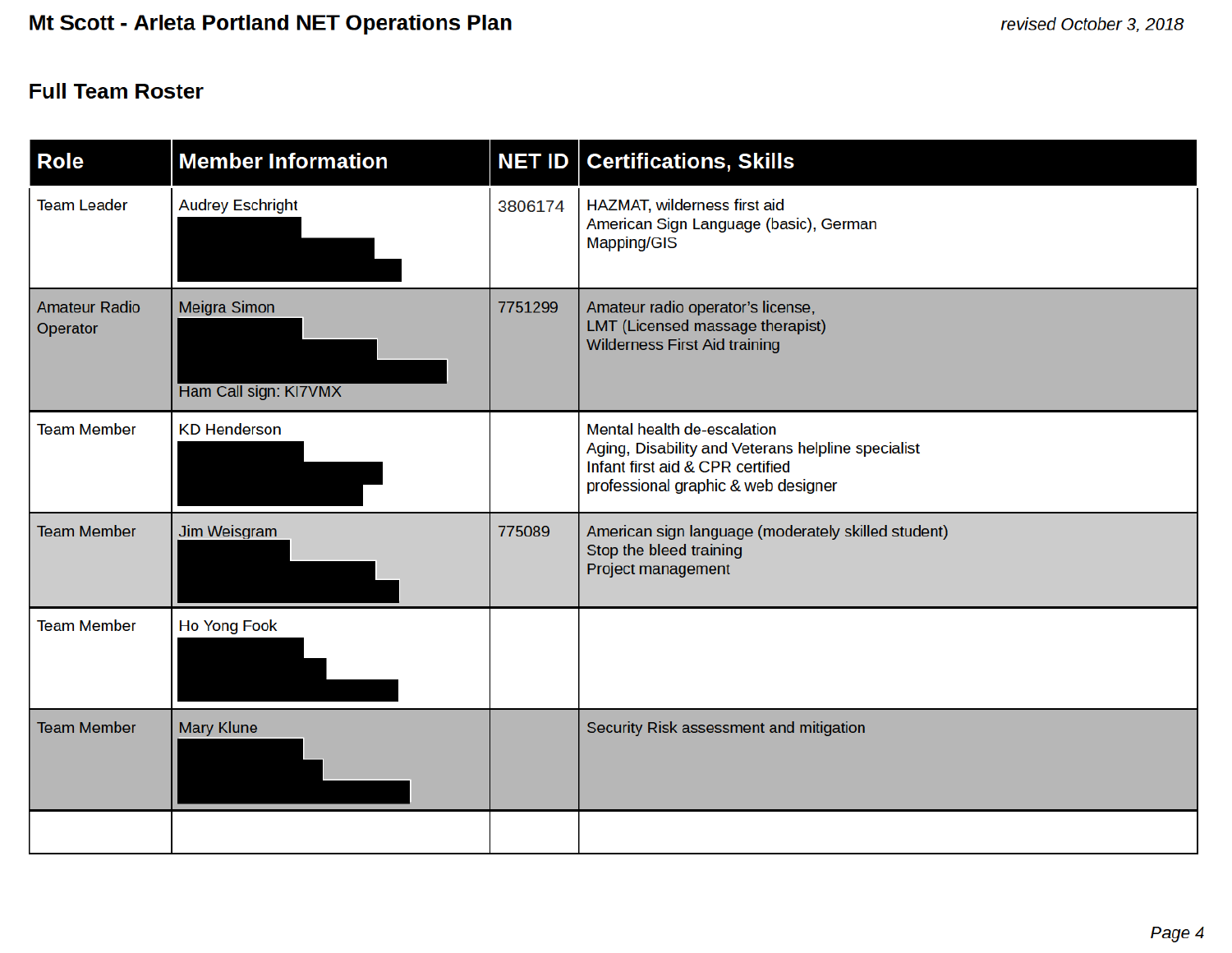## **Full Team Roster**

| <b>Role</b>                      | <b>Member Information</b>             |         | <b>NET ID   Certifications, Skills</b>                                                                                                                       |
|----------------------------------|---------------------------------------|---------|--------------------------------------------------------------------------------------------------------------------------------------------------------------|
| <b>Team Leader</b>               | <b>Audrey Eschright</b>               | 3806174 | HAZMAT, wilderness first aid<br>American Sign Language (basic), German<br>Mapping/GIS                                                                        |
| <b>Amateur Radio</b><br>Operator | Meigra Simon<br>Ham Call sign: KI7VMX | 7751299 | Amateur radio operator's license,<br>LMT (Licensed massage therapist)<br><b>Wilderness First Aid training</b>                                                |
| <b>Team Member</b>               | <b>KD Henderson</b>                   |         | Mental health de-escalation<br>Aging, Disability and Veterans helpline specialist<br>Infant first aid & CPR certified<br>professional graphic & web designer |
| <b>Team Member</b>               | Jim Weisgram                          | 775089  | American sign language (moderately skilled student)<br>Stop the bleed training<br><b>Project management</b>                                                  |
| <b>Team Member</b>               | <b>Ho Yong Fook</b>                   |         |                                                                                                                                                              |
| <b>Team Member</b>               | <b>Mary Klune</b>                     |         | Security Risk assessment and mitigation                                                                                                                      |
|                                  |                                       |         |                                                                                                                                                              |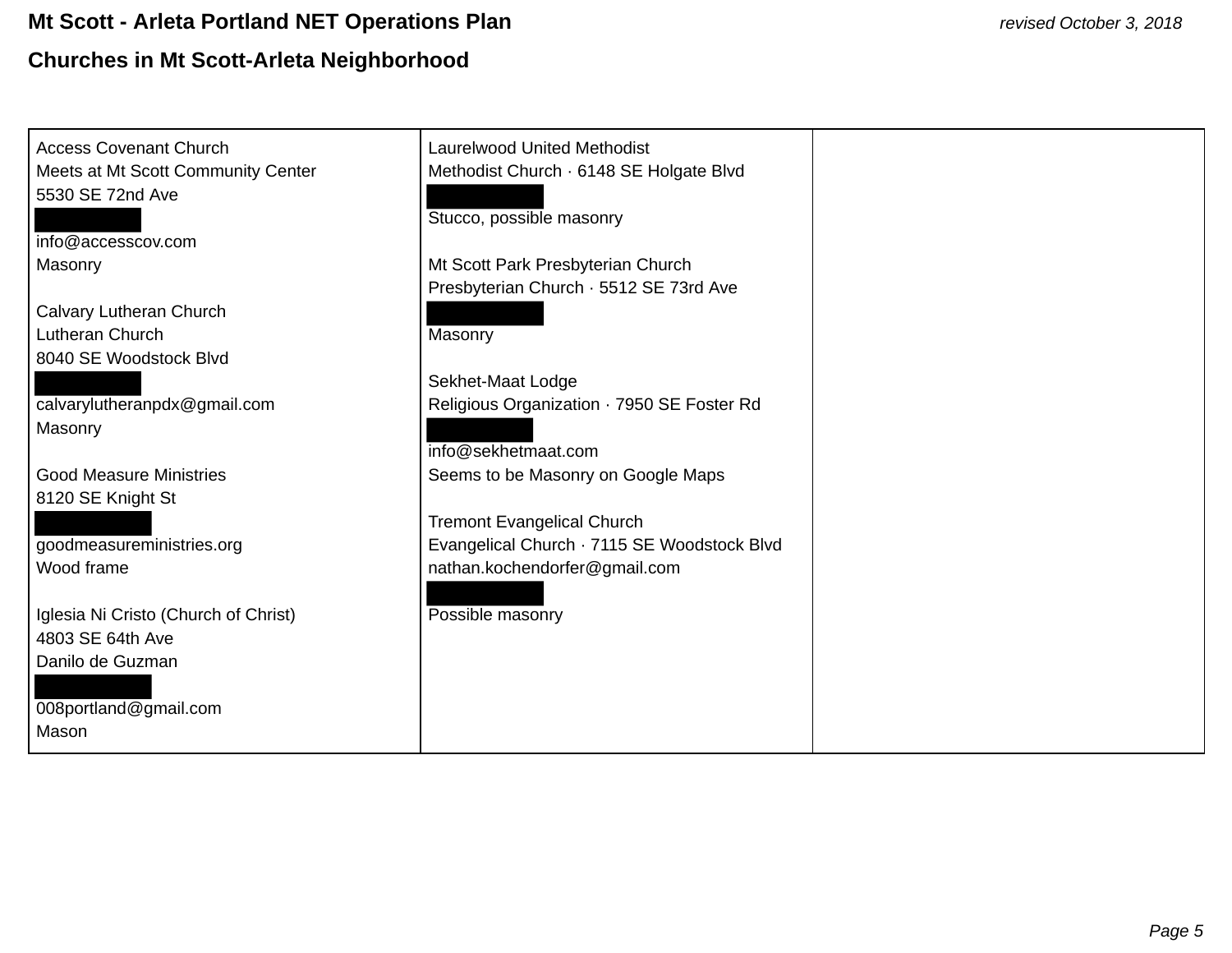# **Mt Scott - Arleta Portland NET Operations Plan** *revised October 3, 2018*  **Churches in Mt Scott-Arleta Neighborhood**

| <b>Access Covenant Church</b>        | <b>Laurelwood United Methodist</b>          |
|--------------------------------------|---------------------------------------------|
| Meets at Mt Scott Community Center   | Methodist Church · 6148 SE Holgate Blvd     |
| 5530 SE 72nd Ave                     |                                             |
|                                      | Stucco, possible masonry                    |
| info@accesscov.com                   |                                             |
| Masonry                              | Mt Scott Park Presbyterian Church           |
|                                      | Presbyterian Church · 5512 SE 73rd Ave      |
| Calvary Lutheran Church              |                                             |
| Lutheran Church                      | Masonry                                     |
| 8040 SE Woodstock Blvd               |                                             |
|                                      | Sekhet-Maat Lodge                           |
| calvarylutheranpdx@gmail.com         | Religious Organization · 7950 SE Foster Rd  |
| Masonry                              |                                             |
|                                      | info@sekhetmaat.com                         |
| <b>Good Measure Ministries</b>       | Seems to be Masonry on Google Maps          |
| 8120 SE Knight St                    |                                             |
|                                      | <b>Tremont Evangelical Church</b>           |
| goodmeasureministries.org            | Evangelical Church · 7115 SE Woodstock Blvd |
| Wood frame                           | nathan.kochendorfer@gmail.com               |
|                                      |                                             |
| Iglesia Ni Cristo (Church of Christ) | Possible masonry                            |
| 4803 SE 64th Ave                     |                                             |
| Danilo de Guzman                     |                                             |
|                                      |                                             |
| 008portland@gmail.com                |                                             |
| Mason                                |                                             |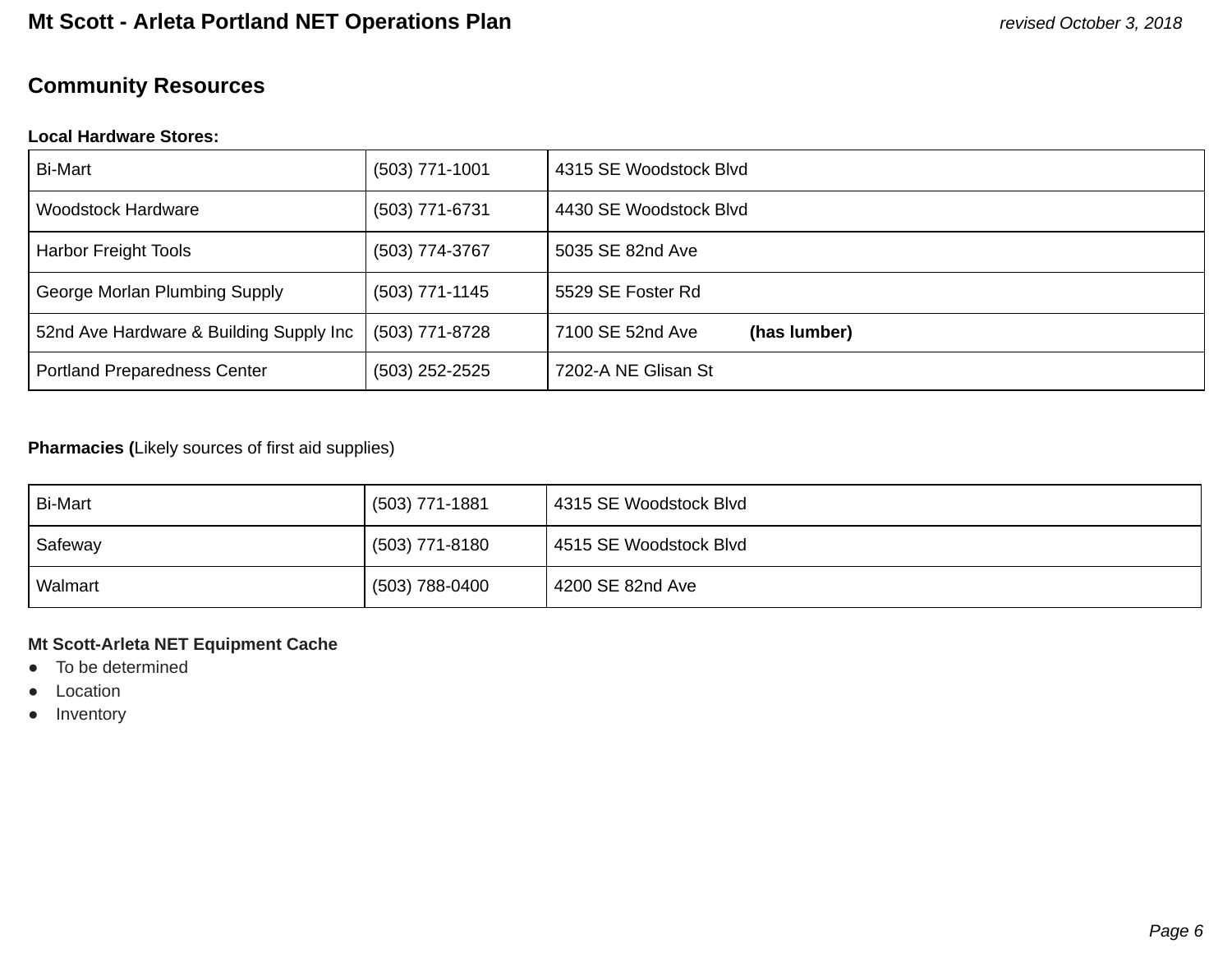# **Community Resources**

### **Local Hardware Stores:**

| <b>Bi-Mart</b>                          | $(503)$ 771-1001 | 4315 SE Woodstock Blvd           |
|-----------------------------------------|------------------|----------------------------------|
| Woodstock Hardware                      | (503) 771-6731   | 4430 SE Woodstock Blvd           |
| Harbor Freight Tools                    | (503) 774-3767   | 5035 SE 82nd Ave                 |
| George Morlan Plumbing Supply           | (503) 771-1145   | 5529 SE Foster Rd                |
| 52nd Ave Hardware & Building Supply Inc | (503) 771-8728   | (has lumber)<br>7100 SE 52nd Ave |
| Portland Preparedness Center            | (503) 252-2525   | 7202-A NE Glisan St              |

### **Pharmacies (Likely sources of first aid supplies)**

| <b>Bi-Mart</b> | (503) 771-1881 | 4315 SE Woodstock Blvd |
|----------------|----------------|------------------------|
| Safeway        | (503) 771-8180 | 4515 SE Woodstock Blvd |
| Walmart        | (503) 788-0400 | 4200 SE 82nd Ave       |

#### **Mt Scott-Arleta NET Equipment Cache**

- To be determined
- Location
- Inventory